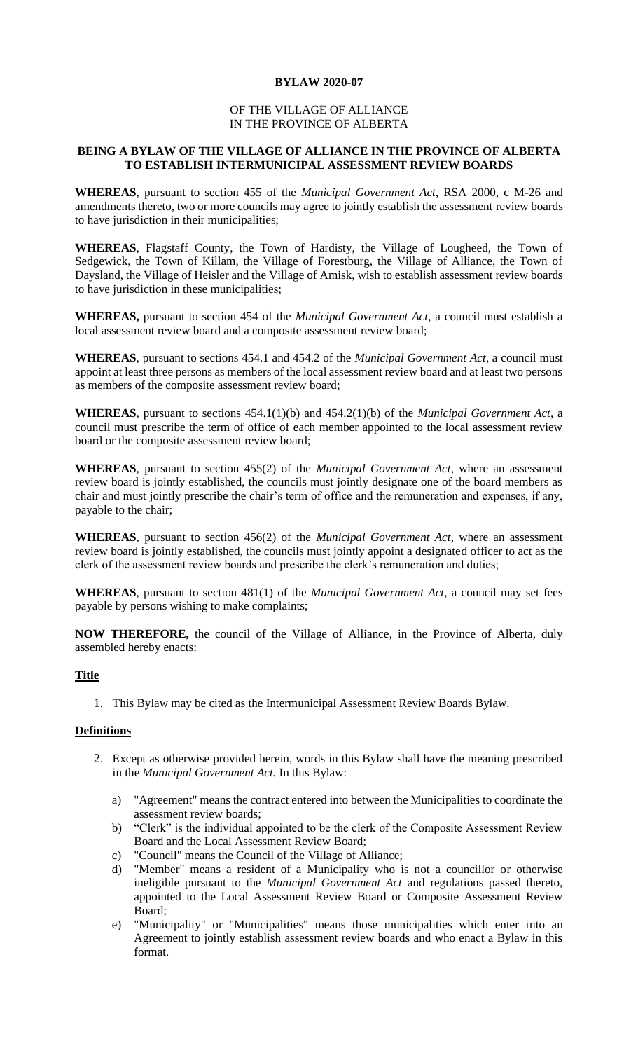## **BYLAW 2020-07**

## OF THE VILLAGE OF ALLIANCE IN THE PROVINCE OF ALBERTA

## **BEING A BYLAW OF THE VILLAGE OF ALLIANCE IN THE PROVINCE OF ALBERTA TO ESTABLISH INTERMUNICIPAL ASSESSMENT REVIEW BOARDS**

**WHEREAS**, pursuant to section 455 of the *Municipal Government Act*, RSA 2000, c M-26 and amendments thereto, two or more councils may agree to jointly establish the assessment review boards to have jurisdiction in their municipalities;

**WHEREAS**, Flagstaff County, the Town of Hardisty, the Village of Lougheed, the Town of Sedgewick, the Town of Killam, the Village of Forestburg, the Village of Alliance, the Town of Daysland, the Village of Heisler and the Village of Amisk, wish to establish assessment review boards to have jurisdiction in these municipalities;

**WHEREAS,** pursuant to section 454 of the *Municipal Government Act*, a council must establish a local assessment review board and a composite assessment review board;

**WHEREAS**, pursuant to sections 454.1 and 454.2 of the *Municipal Government Act*, a council must appoint at least three persons as members of the local assessment review board and at least two persons as members of the composite assessment review board;

**WHEREAS**, pursuant to sections 454.1(1)(b) and 454.2(1)(b) of the *Municipal Government Act*, a council must prescribe the term of office of each member appointed to the local assessment review board or the composite assessment review board;

**WHEREAS**, pursuant to section 455(2) of the *Municipal Government Act*, where an assessment review board is jointly established, the councils must jointly designate one of the board members as chair and must jointly prescribe the chair's term of office and the remuneration and expenses, if any, payable to the chair;

**WHEREAS**, pursuant to section 456(2) of the *Municipal Government Act*, where an assessment review board is jointly established, the councils must jointly appoint a designated officer to act as the clerk of the assessment review boards and prescribe the clerk's remuneration and duties;

**WHEREAS**, pursuant to section 481(1) of the *Municipal Government Act*, a council may set fees payable by persons wishing to make complaints;

**NOW THEREFORE,** the council of the Village of Alliance, in the Province of Alberta, duly assembled hereby enacts:

## **Title**

1. This Bylaw may be cited as the Intermunicipal Assessment Review Boards Bylaw.

#### **Definitions**

- 2. Except as otherwise provided herein, words in this Bylaw shall have the meaning prescribed in the *Municipal Government Act.* In this Bylaw:
	- a) "Agreement" means the contract entered into between the Municipalities to coordinate the assessment review boards;
	- b) "Clerk" is the individual appointed to be the clerk of the Composite Assessment Review Board and the Local Assessment Review Board;
	- c) "Council" means the Council of the Village of Alliance;
	- d) "Member" means a resident of a Municipality who is not a councillor or otherwise ineligible pursuant to the *Municipal Government Act* and regulations passed thereto, appointed to the Local Assessment Review Board or Composite Assessment Review Board;
	- e) "Municipality" or "Municipalities" means those municipalities which enter into an Agreement to jointly establish assessment review boards and who enact a Bylaw in this format.